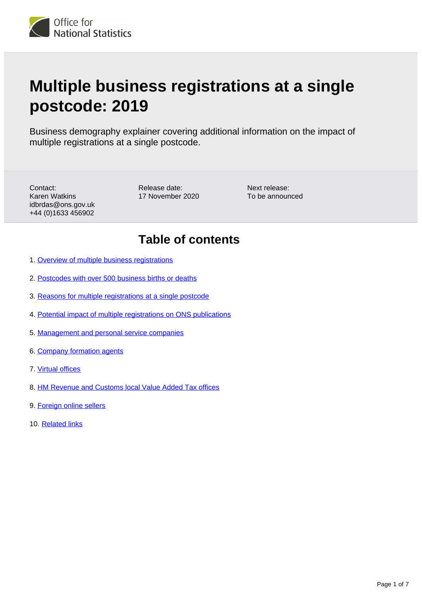

# **Multiple business registrations at a single postcode: 2019**

Business demography explainer covering additional information on the impact of multiple registrations at a single postcode.

Contact: Karen Watkins idbrdas@ons.gov.uk +44 (0)1633 456902

Release date: 17 November 2020 Next release: To be announced

### **Table of contents**

- 1. [Overview of multiple business registrations](#page-1-0)
- 2. [Postcodes with over 500 business births or deaths](#page-1-1)
- 3. [Reasons for multiple registrations at a single postcode](#page-3-0)
- 4. [Potential impact of multiple registrations on ONS publications](#page-4-0)
- 5. [Management and personal service companies](#page-4-1)
- 6. [Company formation agents](#page-5-0)
- 7. [Virtual offices](#page-5-1)
- 8. [HM Revenue and Customs local Value Added Tax offices](#page-5-2)
- 9. [Foreign online sellers](#page-6-0)
- 10. [Related links](#page-6-1)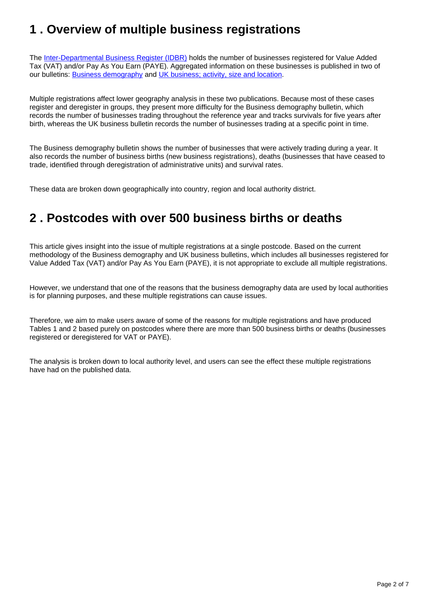### <span id="page-1-0"></span>**1 . Overview of multiple business registrations**

The [Inter-Departmental Business Register \(IDBR\)](https://www.ons.gov.uk/aboutus/whatwedo/paidservices/interdepartmentalbusinessregisteridbr) holds the number of businesses registered for Value Added Tax (VAT) and/or Pay As You Earn (PAYE). Aggregated information on these businesses is published in two of our bulletins: [Business demography](https://www.ons.gov.uk/businessindustryandtrade/business/activitysizeandlocation/bulletins/businessdemography/previousReleases) and [UK business; activity, size and location.](https://www.ons.gov.uk/businessindustryandtrade/business/activitysizeandlocation/bulletins/ukbusinessactivitysizeandlocation/previousReleases)

Multiple registrations affect lower geography analysis in these two publications. Because most of these cases register and deregister in groups, they present more difficulty for the Business demography bulletin, which records the number of businesses trading throughout the reference year and tracks survivals for five years after birth, whereas the UK business bulletin records the number of businesses trading at a specific point in time.

The Business demography bulletin shows the number of businesses that were actively trading during a year. It also records the number of business births (new business registrations), deaths (businesses that have ceased to trade, identified through deregistration of administrative units) and survival rates.

These data are broken down geographically into country, region and local authority district.

#### <span id="page-1-1"></span>**2 . Postcodes with over 500 business births or deaths**

This article gives insight into the issue of multiple registrations at a single postcode. Based on the current methodology of the Business demography and UK business bulletins, which includes all businesses registered for Value Added Tax (VAT) and/or Pay As You Earn (PAYE), it is not appropriate to exclude all multiple registrations.

However, we understand that one of the reasons that the business demography data are used by local authorities is for planning purposes, and these multiple registrations can cause issues.

Therefore, we aim to make users aware of some of the reasons for multiple registrations and have produced Tables 1 and 2 based purely on postcodes where there are more than 500 business births or deaths (businesses registered or deregistered for VAT or PAYE).

The analysis is broken down to local authority level, and users can see the effect these multiple registrations have had on the published data.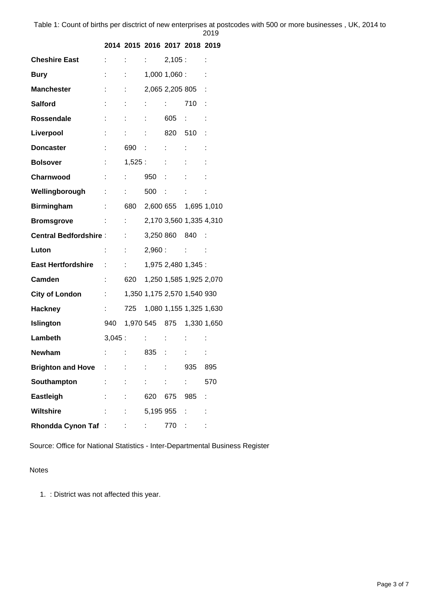| ×<br>۰, | I |
|---------|---|

| <b>Cheshire East</b>         | $\mathbb{R}^{n}$          | $\mathbb{Z}^{\mathbb{Z}}$ and                             | $1 - 1$                    | 2,105:                      |                          |             |
|------------------------------|---------------------------|-----------------------------------------------------------|----------------------------|-----------------------------|--------------------------|-------------|
| <b>Bury</b>                  |                           | $\mathcal{L}^{\text{max}}$ and $\mathcal{L}^{\text{max}}$ |                            | $1,000$ $1,060$ :           |                          |             |
| <b>Manchester</b>            |                           |                                                           |                            | 2,065 2,205 805             |                          |             |
| <b>Salford</b>               |                           |                                                           | $1 - 1 - 1 = 1$            |                             | 710                      |             |
| <b>Rossendale</b>            |                           |                                                           | ÷                          | 605                         | $\mathcal{L}_{\rm{max}}$ |             |
| Liverpool                    |                           | t in                                                      | t in                       | 820                         | 510                      |             |
| <b>Doncaster</b>             |                           | 690 :                                                     |                            | $\mathcal{L}^{\text{max}}$  | ÷                        |             |
| <b>Bolsover</b>              |                           |                                                           | 1,525:                     |                             |                          |             |
| Charnwood                    | $\mathbb{C}^2$            | t.                                                        | 950 :                      |                             |                          |             |
| Wellingborough               |                           | t in                                                      | 500 :                      |                             |                          |             |
| <b>Birmingham</b>            |                           | 680                                                       |                            | 2,600 655 1,695 1,010       |                          |             |
| <b>Bromsgrove</b>            |                           | $\mathbb{Z}^{\mathbb{Z}^n}$ and                           |                            | 2,170 3,560 1,335 4,310     |                          |             |
| <b>Central Bedfordshire:</b> |                           | $\sim 100$                                                |                            | 3,250 860 840               |                          |             |
| Luton                        | ÷                         | t.                                                        |                            | $2,960:$ : :                |                          |             |
| <b>East Hertfordshire</b>    | ÷                         | t in                                                      |                            | 1,975 2,480 1,345 :         |                          |             |
| Camden                       | ÷.                        | 620                                                       |                            | 1,250 1,585 1,925 2,070     |                          |             |
| <b>City of London</b>        |                           |                                                           |                            | 1,350 1,175 2,570 1,540 930 |                          |             |
| <b>Hackney</b>               |                           | 725                                                       |                            | 1,080 1,155 1,325 1,630     |                          |             |
| <b>Islington</b>             | 940                       |                                                           |                            | 1,970 545 875               |                          | 1,330 1,650 |
| Lambeth                      | 3,045:                    |                                                           | おんしょう                      |                             |                          |             |
| <b>Newham</b>                |                           |                                                           | 835                        |                             |                          |             |
| <b>Brighton and Hove :</b>   |                           |                                                           |                            |                             | 935                      | 895         |
| Southampton                  | $\mathbb{Z}^{\mathbb{Z}}$ | t.                                                        | $1 - 1$                    | $\mathbb{R}^{n \times n}$   | bilin i                  | 570         |
| Eastleigh                    |                           | $\mathbb{R}^{\mathbb{Z}}$                                 |                            | 620 675                     | 985                      | t           |
| <b>Wiltshire</b>             |                           | $\mathbb{R}^{n \times n}$                                 |                            | 5,195 955 :                 |                          |             |
| Rhondda Cynon Taf : 1999     |                           |                                                           | $\mathcal{I}^{\text{max}}$ | 770 :                       |                          |             |

**2014 2015 2016 2017 2018 2019**

Source: Office for National Statistics - Inter-Departmental Business Register

#### Notes

1. : District was not affected this year.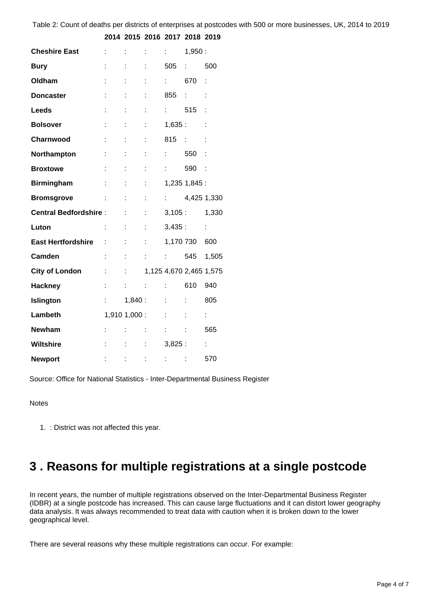| <b>Cheshire East</b>                  | ÷                        | t                          | t                           | $\mathcal{L}^{\text{max}}$      | 1,950:                  |                    |
|---------------------------------------|--------------------------|----------------------------|-----------------------------|---------------------------------|-------------------------|--------------------|
| <b>Bury</b>                           |                          | t.                         | t                           | 505                             | $\mathbb{R}^{n}$        | 500                |
| Oldham                                |                          | t.                         | t                           | $\mathbb{R}^{n \times n}$       | 670                     | ÷                  |
| <b>Doncaster</b>                      |                          |                            |                             | 855                             |                         | t                  |
| <b>Leeds</b>                          |                          |                            | t                           | $\mathcal{L}^{\text{max}}$      | 515                     |                    |
| <b>Bolsover</b>                       | ÷                        | t.                         | t                           | 1,635:                          |                         | t                  |
| Charnwood                             | ÷                        | t.                         | ÷                           | 815 :                           |                         | t                  |
| Northampton                           |                          |                            | t                           | $\mathbf{r}$                    | 550                     |                    |
| <b>Broxtowe</b>                       |                          |                            | t                           | $\mathbb{Z}^{\mathbb{Z}}$       | 590 :                   |                    |
| <b>Birmingham</b>                     | $\sim 1000$ km s $^{-1}$ | t.                         | ÷                           |                                 | 1,235 1,845 :           |                    |
| <b>Bromsgrove</b><br>$\sim 10^{11}$ . |                          | ÷                          | ÷                           |                                 | : 4,4251,330            |                    |
| <b>Central Bedfordshire:</b>          |                          | t.                         | ÷                           | 3,105:                          |                         | 1,330              |
| Luton                                 | ÷.                       | ÷                          | t                           | 3,435:                          |                         | ÷                  |
| <b>East Hertfordshire : :</b>         |                          | t.                         | ÷                           | 1,170 730                       |                         | 600                |
| Camden                                |                          |                            |                             | $\frac{1}{2}$ $\frac{1}{2}$ 545 |                         | 1,505              |
| <b>City of London</b>                 | t                        | $\mathcal{L}^{\text{max}}$ |                             |                                 | 1,125 4,670 2,465 1,575 |                    |
| <b>Hackney</b>                        |                          | t.                         | $\sim 10^{11}$ m $^{-1}$    | $\mathbf{1}$                    | 610                     | 940                |
| <b>Islington</b>                      |                          |                            | 1,840:                      | $1 - 1$                         | ÷                       | 805                |
| Lambeth                               |                          | $1,910$ $1,000$ : : :      |                             |                                 |                         | $\mathbb{R}^{n}$   |
| <b>Newham</b>                         | ÷.                       | ÷                          | $\mathcal{L}_{\rm{max}}$    | $\mathcal{L}^{\text{max}}$      | ÷                       | 565                |
| <b>Wiltshire</b>                      |                          |                            | $\mathbb{Z}^{\mathbb{Z}^n}$ | 3,825:                          |                         | $\mathbb{Z}^{n+1}$ |
| <b>Newport</b>                        |                          | ÷                          | <b>Service State</b>        | ber de la                       |                         | 570                |

Table 2: Count of deaths per districts of enterprises at postcodes with 500 or more businesses, UK, 2014 to 2019

**2014 2015 2016 2017 2018 2019**

Source: Office for National Statistics - Inter-Departmental Business Register

#### **Notes**

1. : District was not affected this year.

#### <span id="page-3-0"></span>**3 . Reasons for multiple registrations at a single postcode**

In recent years, the number of multiple registrations observed on the Inter-Departmental Business Register (IDBR) at a single postcode has increased. This can cause large fluctuations and it can distort lower geography data analysis. It was always recommended to treat data with caution when it is broken down to the lower geographical level.

There are several reasons why these multiple registrations can occur. For example: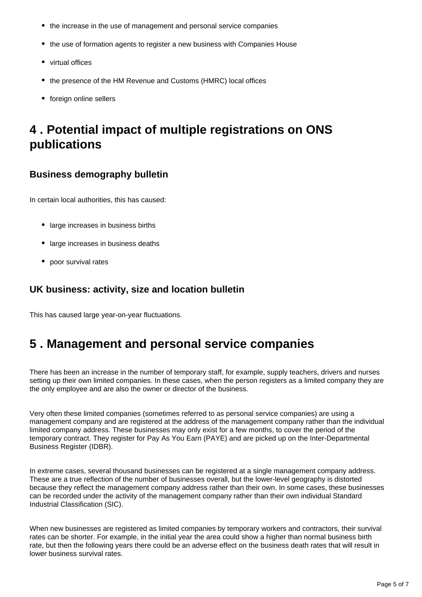- the increase in the use of management and personal service companies
- the use of formation agents to register a new business with Companies House
- virtual offices
- the presence of the HM Revenue and Customs (HMRC) local offices
- foreign online sellers

### <span id="page-4-0"></span>**4 . Potential impact of multiple registrations on ONS publications**

#### **Business demography bulletin**

In certain local authorities, this has caused:

- large increases in business births
- large increases in business deaths
- poor survival rates

#### **UK business: activity, size and location bulletin**

This has caused large year-on-year fluctuations.

### <span id="page-4-1"></span>**5 . Management and personal service companies**

There has been an increase in the number of temporary staff, for example, supply teachers, drivers and nurses setting up their own limited companies. In these cases, when the person registers as a limited company they are the only employee and are also the owner or director of the business.

Very often these limited companies (sometimes referred to as personal service companies) are using a management company and are registered at the address of the management company rather than the individual limited company address. These businesses may only exist for a few months, to cover the period of the temporary contract. They register for Pay As You Earn (PAYE) and are picked up on the Inter-Departmental Business Register (IDBR).

In extreme cases, several thousand businesses can be registered at a single management company address. These are a true reflection of the number of businesses overall, but the lower-level geography is distorted because they reflect the management company address rather than their own. In some cases, these businesses can be recorded under the activity of the management company rather than their own individual Standard Industrial Classification (SIC).

When new businesses are registered as limited companies by temporary workers and contractors, their survival rates can be shorter. For example, in the initial year the area could show a higher than normal business birth rate, but then the following years there could be an adverse effect on the business death rates that will result in lower business survival rates.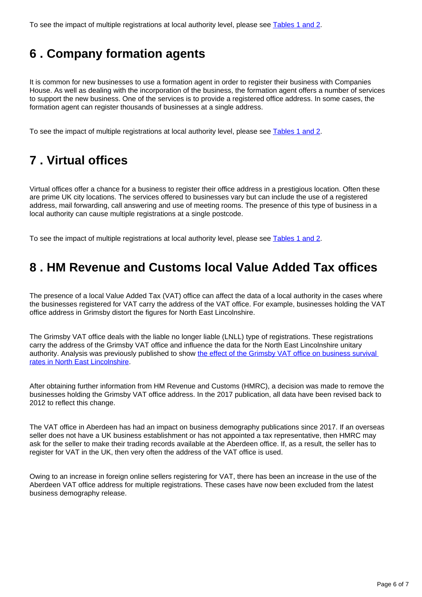To see the impact of multiple registrations at local authority level, please see [Tables 1 and 2.](https://www.ons.gov.uk/businessindustryandtrade/business/activitysizeandlocation/methodologies/multiplebusinessregistrationsatasinglepostcode2019#postcodes-with-over-500-business-births-or-deaths)

# <span id="page-5-0"></span>**6 . Company formation agents**

It is common for new businesses to use a formation agent in order to register their business with Companies House. As well as dealing with the incorporation of the business, the formation agent offers a number of services to support the new business. One of the services is to provide a registered office address. In some cases, the formation agent can register thousands of businesses at a single address.

To see the impact of multiple registrations at local authority level, please see [Tables 1 and 2.](https://www.ons.gov.uk/businessindustryandtrade/business/activitysizeandlocation/methodologies/multiplebusinessregistrationsatasinglepostcode2019#postcodes-with-over-500-business-births-or-deaths)

# <span id="page-5-1"></span>**7 . Virtual offices**

Virtual offices offer a chance for a business to register their office address in a prestigious location. Often these are prime UK city locations. The services offered to businesses vary but can include the use of a registered address, mail forwarding, call answering and use of meeting rooms. The presence of this type of business in a local authority can cause multiple registrations at a single postcode.

To see the impact of multiple registrations at local authority level, please see [Tables 1 and 2.](https://www.ons.gov.uk/businessindustryandtrade/business/activitysizeandlocation/methodologies/multiplebusinessregistrationsatasinglepostcode2019#postcodes-with-over-500-business-births-or-deaths)

#### <span id="page-5-2"></span>**8 . HM Revenue and Customs local Value Added Tax offices**

The presence of a local Value Added Tax (VAT) office can affect the data of a local authority in the cases where the businesses registered for VAT carry the address of the VAT office. For example, businesses holding the VAT office address in Grimsby distort the figures for North East Lincolnshire.

The Grimsby VAT office deals with the liable no longer liable (LNLL) type of registrations. These registrations carry the address of the Grimsby VAT office and influence the data for the North East Lincolnshire unitary authority. Analysis was previously published to show the effect of the Grimsby VAT office on business survival [rates in North East Lincolnshire.](https://www.ons.gov.uk/businessindustryandtrade/changestobusiness/businessbirthsdeathsandsurvivalrates/adhocs/007888theeffectofgrimsbyvatofficeregistrationsononeyearbusinesssurvivalratesinnortheastlincolnshireandyorkshireandthehumber)

After obtaining further information from HM Revenue and Customs (HMRC), a decision was made to remove the businesses holding the Grimsby VAT office address. In the 2017 publication, all data have been revised back to 2012 to reflect this change.

The VAT office in Aberdeen has had an impact on business demography publications since 2017. If an overseas seller does not have a UK business establishment or has not appointed a tax representative, then HMRC may ask for the seller to make their trading records available at the Aberdeen office. If, as a result, the seller has to register for VAT in the UK, then very often the address of the VAT office is used.

Owing to an increase in foreign online sellers registering for VAT, there has been an increase in the use of the Aberdeen VAT office address for multiple registrations. These cases have now been excluded from the latest business demography release.